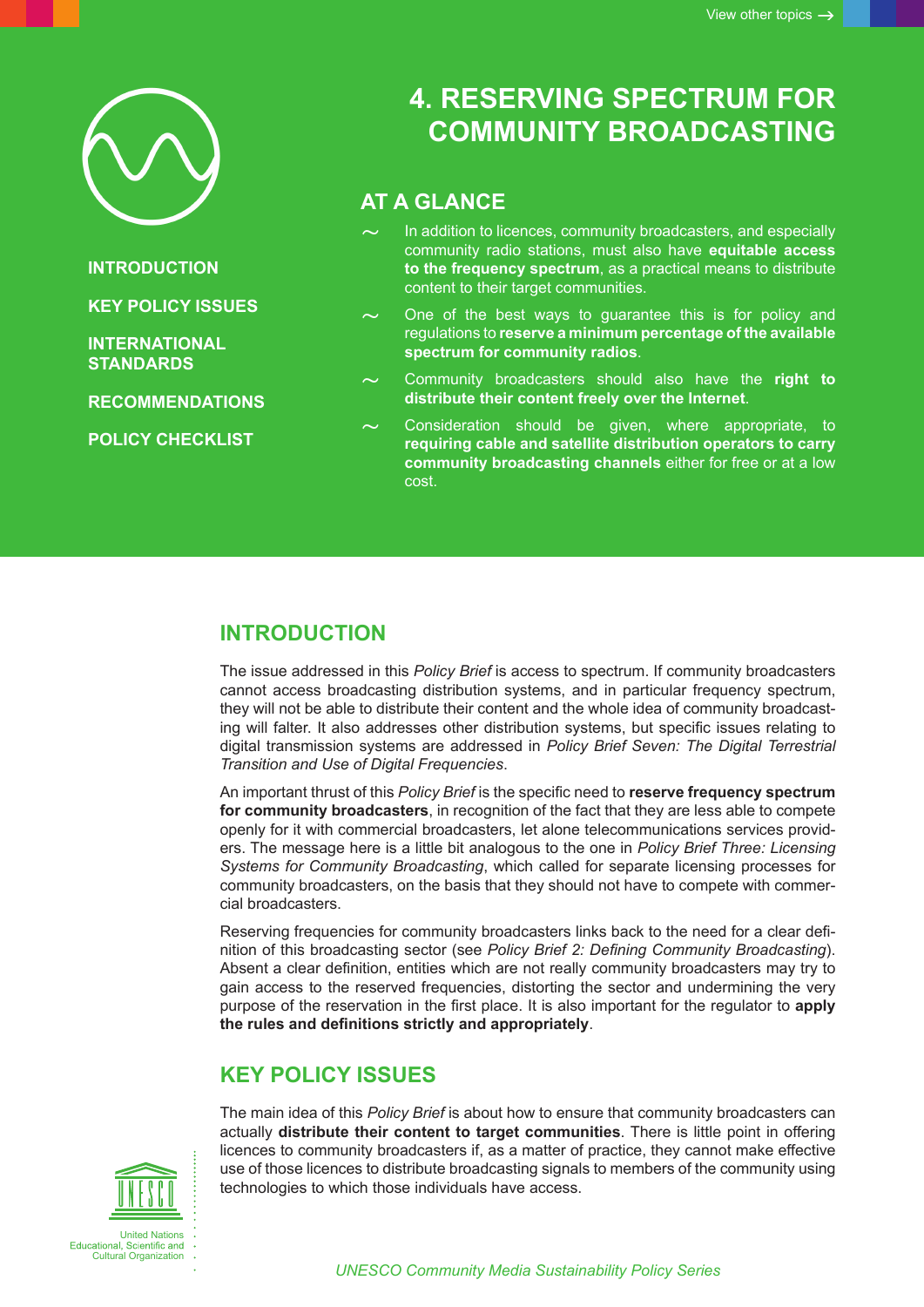

**INTRODUCTION**

**KEY POLICY ISSUES**

**[INTERNATIONAL](#page-2-0)  [STANDARDS](#page-2-0)**

**[RECOMMENDATIONS](#page-2-0)**

**[POLICY CHECKLIST](#page-3-0)**

# **4. RESERVING SPECTRUM FOR COMMUNITY BROADCASTING**

# **AT A GLANCE**

- In addition to licences, community broadcasters, and especially community radio stations, must also have **equitable access to the frequency spectrum**, as a practical means to distribute content to their target communities.
- One of the best ways to guarantee this is for policy and regulations to **reserve a minimum percentage of the available spectrum for community radios**.
- ~ Community broadcasters should also have the **right to distribute their content freely over the Internet**.
- Consideration should be given, where appropriate, to **requiring cable and satellite distribution operators to carry community broadcasting channels** either for free or at a low cost.

# **INTRODUCTION**

The issue addressed in this *Policy Brief* is access to spectrum. If community broadcasters cannot access broadcasting distribution systems, and in particular frequency spectrum, they will not be able to distribute their content and the whole idea of community broadcasting will falter. It also addresses other distribution systems, but specific issues relating to digital transmission systems are addressed in *Policy Brief Seven: The Digital Terrestrial Transition and Use of Digital Frequencies*.

An important thrust of this *Policy Brief* is the specific need to **reserve frequency spectrum for community broadcasters**, in recognition of the fact that they are less able to compete openly for it with commercial broadcasters, let alone telecommunications services providers. The message here is a little bit analogous to the one in *Policy Brief Three: Licensing Systems for Community Broadcasting*, which called for separate licensing processes for community broadcasters, on the basis that they should not have to compete with commercial broadcasters.

Reserving frequencies for community broadcasters links back to the need for a clear definition of this broadcasting sector (see *Policy Brief 2: Defining Community Broadcasting*). Absent a clear definition, entities which are not really community broadcasters may try to gain access to the reserved frequencies, distorting the sector and undermining the very purpose of the reservation in the first place. It is also important for the regulator to **apply the rules and definitions strictly and appropriately**.

# **KEY POLICY ISSUES**

The main idea of this *Policy Brief* is about how to ensure that community broadcasters can actually **distribute their content to target communities**. There is little point in offering licences to community broadcasters if, as a matter of practice, they cannot make effective use of those licences to distribute broadcasting signals to members of the community using technologies to which those individuals have access.

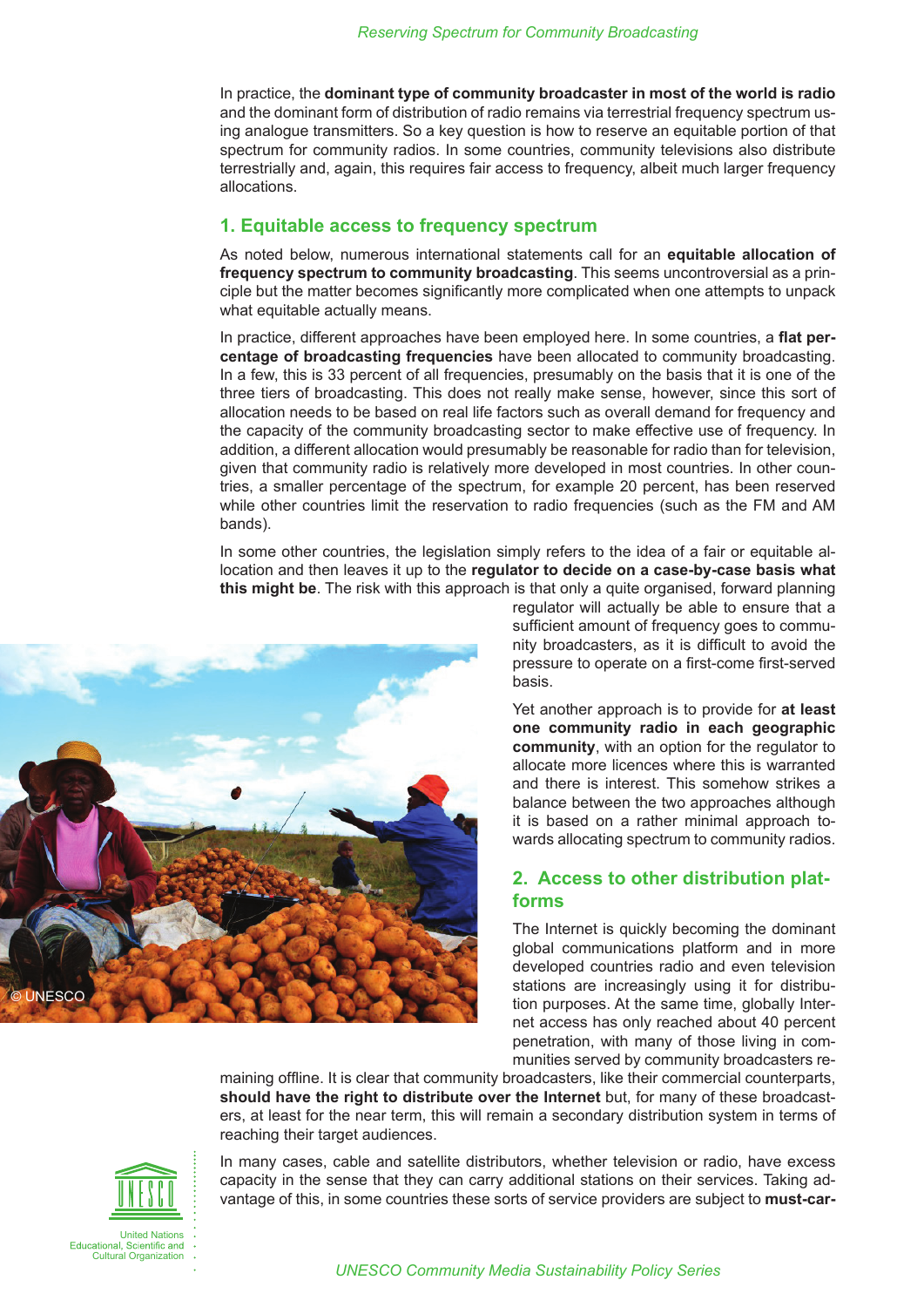In practice, the **dominant type of community broadcaster in most of the world is radio**  and the dominant form of distribution of radio remains via terrestrial frequency spectrum using analogue transmitters. So a key question is how to reserve an equitable portion of that spectrum for community radios. In some countries, community televisions also distribute terrestrially and, again, this requires fair access to frequency, albeit much larger frequency allocations.

#### **1. Equitable access to frequency spectrum**

As noted below, numerous international statements call for an **equitable allocation of frequency spectrum to community broadcasting**. This seems uncontroversial as a principle but the matter becomes significantly more complicated when one attempts to unpack what equitable actually means.

In practice, different approaches have been employed here. In some countries, a **flat percentage of broadcasting frequencies** have been allocated to community broadcasting. In a few, this is 33 percent of all frequencies, presumably on the basis that it is one of the three tiers of broadcasting. This does not really make sense, however, since this sort of allocation needs to be based on real life factors such as overall demand for frequency and the capacity of the community broadcasting sector to make effective use of frequency. In addition, a different allocation would presumably be reasonable for radio than for television, given that community radio is relatively more developed in most countries. In other countries, a smaller percentage of the spectrum, for example 20 percent, has been reserved while other countries limit the reservation to radio frequencies (such as the FM and AM bands).

In some other countries, the legislation simply refers to the idea of a fair or equitable allocation and then leaves it up to the **regulator to decide on a case-by-case basis what this might be**. The risk with this approach is that only a quite organised, forward planning



regulator will actually be able to ensure that a sufficient amount of frequency goes to community broadcasters, as it is difficult to avoid the pressure to operate on a first-come first-served basis.

Yet another approach is to provide for **at least one community radio in each geographic community**, with an option for the regulator to allocate more licences where this is warranted and there is interest. This somehow strikes a balance between the two approaches although it is based on a rather minimal approach towards allocating spectrum to community radios.

#### **2. Access to other distribution platforms**

The Internet is quickly becoming the dominant global communications platform and in more developed countries radio and even television stations are increasingly using it for distribution purposes. At the same time, globally Internet access has only reached about 40 percent penetration, with many of those living in communities served by community broadcasters re-

maining offline. It is clear that community broadcasters, like their commercial counterparts, **should have the right to distribute over the Internet** but, for many of these broadcasters, at least for the near term, this will remain a secondary distribution system in terms of reaching their target audiences.



In many cases, cable and satellite distributors, whether television or radio, have excess capacity in the sense that they can carry additional stations on their services. Taking advantage of this, in some countries these sorts of service providers are subject to **must-car-**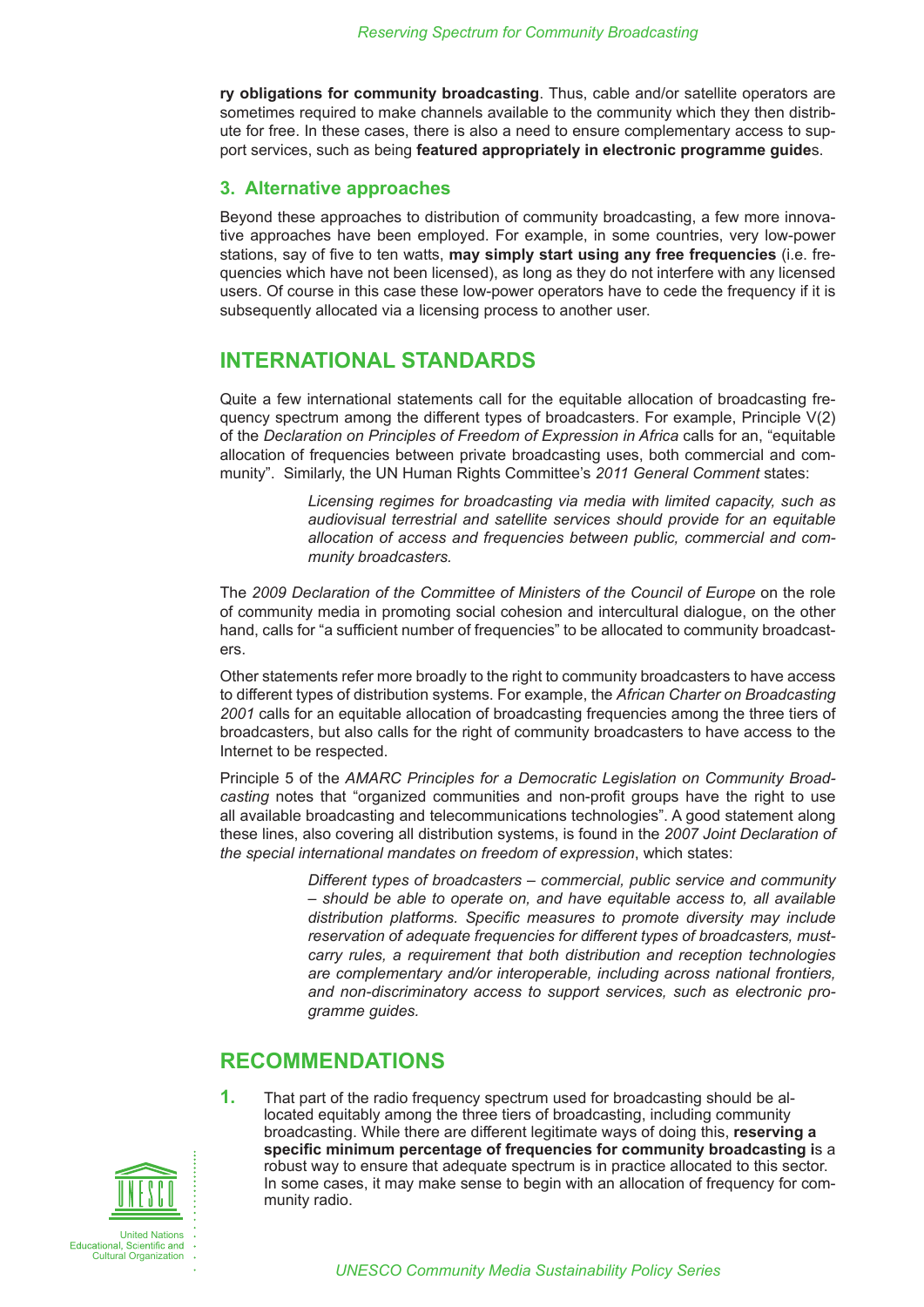<span id="page-2-0"></span>**ry obligations for community broadcasting**. Thus, cable and/or satellite operators are sometimes required to make channels available to the community which they then distribute for free. In these cases, there is also a need to ensure complementary access to support services, such as being **featured appropriately in electronic programme guide**s.

#### **3. Alternative approaches**

Beyond these approaches to distribution of community broadcasting, a few more innovative approaches have been employed. For example, in some countries, very low-power stations, say of five to ten watts, **may simply start using any free frequencies** (i.e. frequencies which have not been licensed), as long as they do not interfere with any licensed users. Of course in this case these low-power operators have to cede the frequency if it is subsequently allocated via a licensing process to another user.

### **INTERNATIONAL STANDARDS**

Quite a few international statements call for the equitable allocation of broadcasting frequency spectrum among the different types of broadcasters. For example, Principle V(2) of the *Declaration on Principles of Freedom of Expression in Africa* calls for an, "equitable allocation of frequencies between private broadcasting uses, both commercial and community". Similarly, the UN Human Rights Committee's *2011 General Comment* states:

> *Licensing regimes for broadcasting via media with limited capacity, such as audiovisual terrestrial and satellite services should provide for an equitable allocation of access and frequencies between public, commercial and community broadcasters.*

The *2009 Declaration of the Committee of Ministers of the Council of Europe* on the role of community media in promoting social cohesion and intercultural dialogue, on the other hand, calls for "a sufficient number of frequencies" to be allocated to community broadcasters.

Other statements refer more broadly to the right to community broadcasters to have access to different types of distribution systems. For example, the *African Charter on Broadcasting 2001* calls for an equitable allocation of broadcasting frequencies among the three tiers of broadcasters, but also calls for the right of community broadcasters to have access to the Internet to be respected.

Principle 5 of the *AMARC Principles for a Democratic Legislation on Community Broadcasting* notes that "organized communities and non-profit groups have the right to use all available broadcasting and telecommunications technologies". A good statement along these lines, also covering all distribution systems, is found in the *2007 Joint Declaration of the special international mandates on freedom of expression*, which states:

> *Different types of broadcasters – commercial, public service and community – should be able to operate on, and have equitable access to, all available distribution platforms. Specific measures to promote diversity may include reservation of adequate frequencies for different types of broadcasters, mustcarry rules, a requirement that both distribution and reception technologies are complementary and/or interoperable, including across national frontiers, and non-discriminatory access to support services, such as electronic programme guides.*

#### **RECOMMENDATIONS**

**1.** That part of the radio frequency spectrum used for broadcasting should be allocated equitably among the three tiers of broadcasting, including community broadcasting. While there are different legitimate ways of doing this, **reserving a specific minimum percentage of frequencies for community broadcasting i**s a robust way to ensure that adequate spectrum is in practice allocated to this sector. In some cases, it may make sense to begin with an allocation of frequency for community radio.